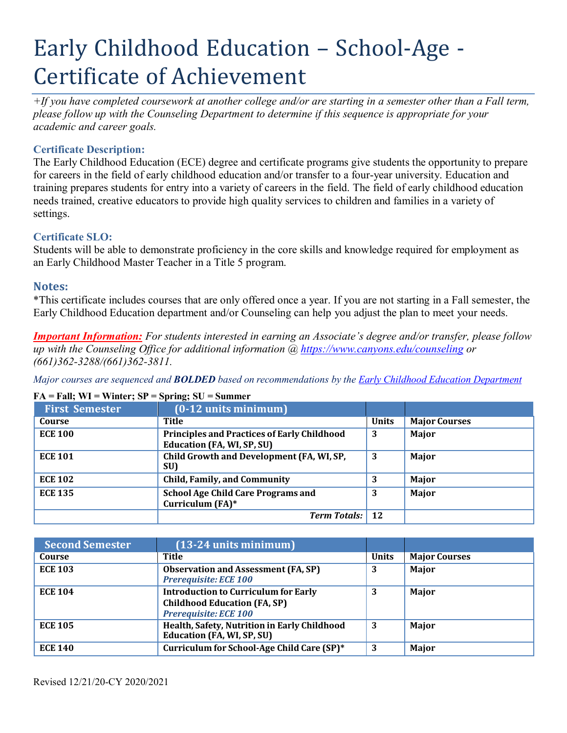# Early Childhood Education – School-Age - Certificate of Achievement

*+If you have completed coursework at another college and/or are starting in a semester other than a Fall term, please follow up with the Counseling Department to determine if this sequence is appropriate for your academic and career goals.*

## **Certificate Description:**

The Early Childhood Education (ECE) degree and certificate programs give students the opportunity to prepare for careers in the field of early childhood education and/or transfer to a four-year university. Education and training prepares students for entry into a variety of careers in the field. The field of early childhood education needs trained, creative educators to provide high quality services to children and families in a variety of settings.

## **Certificate SLO:**

Students will be able to demonstrate proficiency in the core skills and knowledge required for employment as an Early Childhood Master Teacher in a Title 5 program.

## **Notes:**

\*This certificate includes courses that are only offered once a year. If you are not starting in a Fall semester, the Early Childhood Education department and/or Counseling can help you adjust the plan to meet your needs.

*Important Information: For students interested in earning an Associate's degree and/or transfer, please follow up with the Counseling Office for additional information @ https:/[/www.canyons.edu/counseling](http://www.canyons.edu/counseling) or (661)362-3288/(661)362-3811.*

*Major courses are sequenced and BOLDED based on recommendations by the Early Childhood Education Department*

#### **FA = Fall; WI = Winter; SP = Spring; SU = Summer**

| <b>First Semester</b> | $(0-12$ units minimum)                                                                  |              |                      |
|-----------------------|-----------------------------------------------------------------------------------------|--------------|----------------------|
| Course                | Title                                                                                   | <b>Units</b> | <b>Major Courses</b> |
| <b>ECE 100</b>        | <b>Principles and Practices of Early Childhood</b><br><b>Education (FA, WI, SP, SU)</b> | 3            | Major                |
| <b>ECE 101</b>        | Child Growth and Development (FA, WI, SP,<br>SU)                                        | 3            | Major                |
| <b>ECE 102</b>        | <b>Child, Family, and Community</b>                                                     |              | Major                |
| <b>ECE 135</b>        | <b>School Age Child Care Programs and</b><br>Curriculum (FA)*                           | 3            | Major                |
|                       | <b>Term Totals:</b>                                                                     | 12           |                      |

| <b>Second Semester</b> | $(13-24$ units minimum)                                                                                     |              |                      |
|------------------------|-------------------------------------------------------------------------------------------------------------|--------------|----------------------|
| Course                 | Title                                                                                                       | <b>Units</b> | <b>Major Courses</b> |
| <b>ECE 103</b>         | <b>Observation and Assessment (FA, SP)</b><br><b>Prerequisite: ECE 100</b>                                  | 3            | Major                |
| <b>ECE 104</b>         | <b>Introduction to Curriculum for Early</b><br><b>Childhood Education (FA, SP)</b><br>Prerequisite: ECE 100 | 3            | Major                |
| <b>ECE 105</b>         | Health, Safety, Nutrition in Early Childhood<br><b>Education (FA, WI, SP, SU)</b>                           | 3            | Major                |
| <b>ECE 140</b>         | Curriculum for School-Age Child Care (SP)*                                                                  | 3            | Major                |